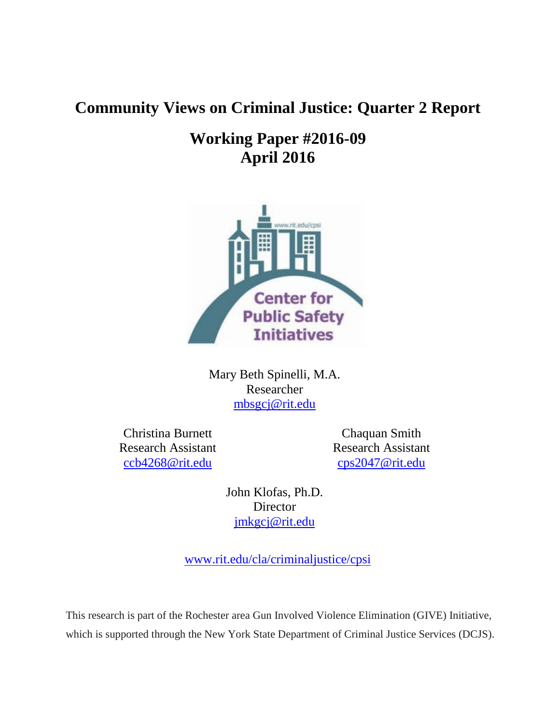# **Community Views on Criminal Justice: Quarter 2 Report**

# **Working Paper #2016-09 April 2016**



Mary Beth Spinelli, M.A. Researcher [mbsgcj@rit.edu](mailto:mbsgcj@rit.edu)

Christina Burnett Research Assistant [ccb4268@rit.edu](mailto:ccb4268@rit.edu)

Chaquan Smith Research Assistant [cps2047@rit.edu](mailto:cps2047@rit.edu)

John Klofas, Ph.D. **Director** [jmkgcj@rit.edu](mailto:jmkgcj@rit.edu)

[www.rit.edu/cla/criminaljustice/cpsi](http://www.rit.edu/cla/criminaljustice/cpsi)

This research is part of the Rochester area Gun Involved Violence Elimination (GIVE) Initiative, which is supported through the New York State Department of Criminal Justice Services (DCJS).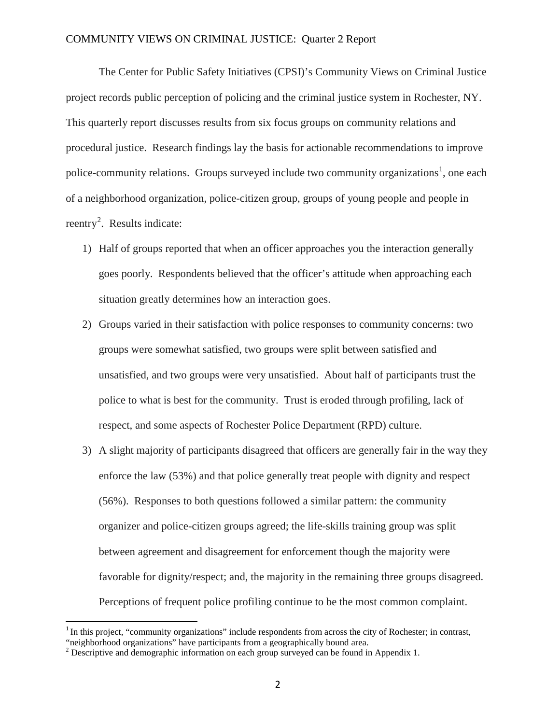The Center for Public Safety Initiatives (CPSI)'s Community Views on Criminal Justice project records public perception of policing and the criminal justice system in Rochester, NY. This quarterly report discusses results from six focus groups on community relations and procedural justice. Research findings lay the basis for actionable recommendations to improve police-community relations. Groups surveyed include two community organizations<sup>[1](#page-1-0)</sup>, one each of a neighborhood organization, police-citizen group, groups of young people and people in reentry<sup>[2](#page-1-1)</sup>. Results indicate:

- 1) Half of groups reported that when an officer approaches you the interaction generally goes poorly. Respondents believed that the officer's attitude when approaching each situation greatly determines how an interaction goes.
- 2) Groups varied in their satisfaction with police responses to community concerns: two groups were somewhat satisfied, two groups were split between satisfied and unsatisfied, and two groups were very unsatisfied. About half of participants trust the police to what is best for the community. Trust is eroded through profiling, lack of respect, and some aspects of Rochester Police Department (RPD) culture.
- 3) A slight majority of participants disagreed that officers are generally fair in the way they enforce the law (53%) and that police generally treat people with dignity and respect (56%). Responses to both questions followed a similar pattern: the community organizer and police-citizen groups agreed; the life-skills training group was split between agreement and disagreement for enforcement though the majority were favorable for dignity/respect; and, the majority in the remaining three groups disagreed. Perceptions of frequent police profiling continue to be the most common complaint.

<span id="page-1-0"></span> $1$ In this project, "community organizations" include respondents from across the city of Rochester; in contrast, "neighborhood organizations" have participants from a geographically bound area.

<span id="page-1-1"></span><sup>&</sup>lt;sup>2</sup> Descriptive and demographic information on each group surveyed can be found in Appendix 1.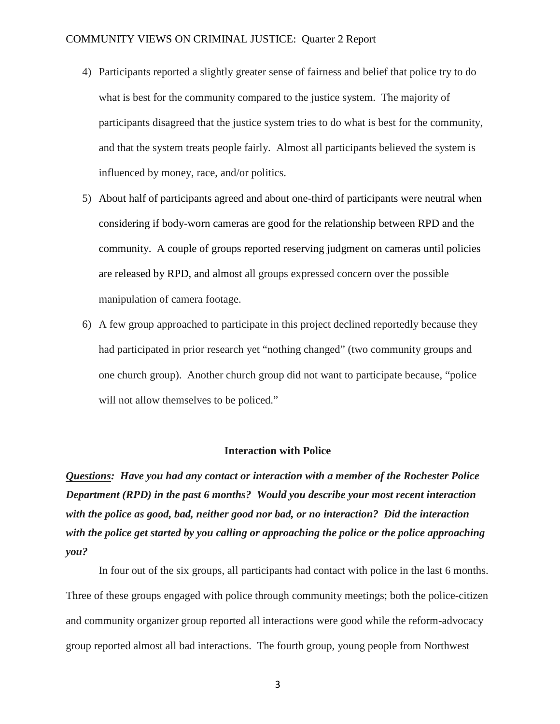- 4) Participants reported a slightly greater sense of fairness and belief that police try to do what is best for the community compared to the justice system. The majority of participants disagreed that the justice system tries to do what is best for the community, and that the system treats people fairly. Almost all participants believed the system is influenced by money, race, and/or politics.
- 5) About half of participants agreed and about one-third of participants were neutral when considering if body-worn cameras are good for the relationship between RPD and the community. A couple of groups reported reserving judgment on cameras until policies are released by RPD, and almost all groups expressed concern over the possible manipulation of camera footage.
- 6) A few group approached to participate in this project declined reportedly because they had participated in prior research yet "nothing changed" (two community groups and one church group). Another church group did not want to participate because, "police will not allow themselves to be policed."

#### **Interaction with Police**

*Questions: Have you had any contact or interaction with a member of the Rochester Police Department (RPD) in the past 6 months? Would you describe your most recent interaction with the police as good, bad, neither good nor bad, or no interaction? Did the interaction with the police get started by you calling or approaching the police or the police approaching you?* 

In four out of the six groups, all participants had contact with police in the last 6 months. Three of these groups engaged with police through community meetings; both the police-citizen and community organizer group reported all interactions were good while the reform-advocacy group reported almost all bad interactions. The fourth group, young people from Northwest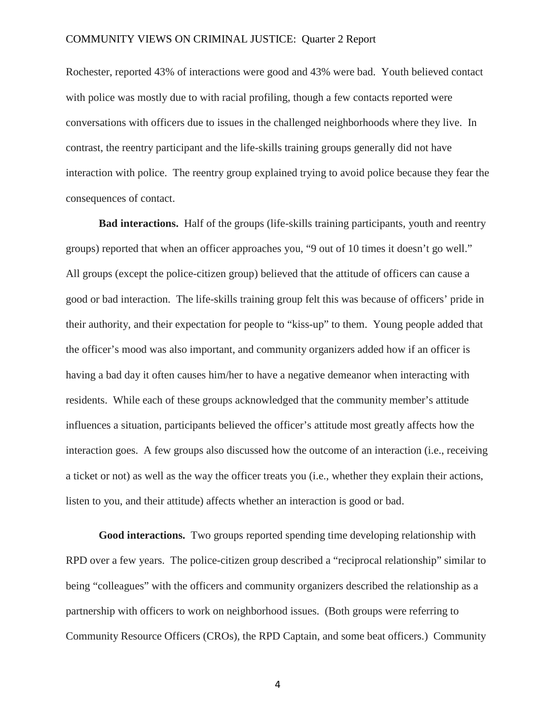Rochester, reported 43% of interactions were good and 43% were bad. Youth believed contact with police was mostly due to with racial profiling, though a few contacts reported were conversations with officers due to issues in the challenged neighborhoods where they live. In contrast, the reentry participant and the life-skills training groups generally did not have interaction with police. The reentry group explained trying to avoid police because they fear the consequences of contact.

**Bad interactions.** Half of the groups (life-skills training participants, youth and reentry groups) reported that when an officer approaches you, "9 out of 10 times it doesn't go well." All groups (except the police-citizen group) believed that the attitude of officers can cause a good or bad interaction. The life-skills training group felt this was because of officers' pride in their authority, and their expectation for people to "kiss-up" to them. Young people added that the officer's mood was also important, and community organizers added how if an officer is having a bad day it often causes him/her to have a negative demeanor when interacting with residents. While each of these groups acknowledged that the community member's attitude influences a situation, participants believed the officer's attitude most greatly affects how the interaction goes. A few groups also discussed how the outcome of an interaction (i.e., receiving a ticket or not) as well as the way the officer treats you (i.e., whether they explain their actions, listen to you, and their attitude) affects whether an interaction is good or bad.

**Good interactions.** Two groups reported spending time developing relationship with RPD over a few years. The police-citizen group described a "reciprocal relationship" similar to being "colleagues" with the officers and community organizers described the relationship as a partnership with officers to work on neighborhood issues. (Both groups were referring to Community Resource Officers (CROs), the RPD Captain, and some beat officers.) Community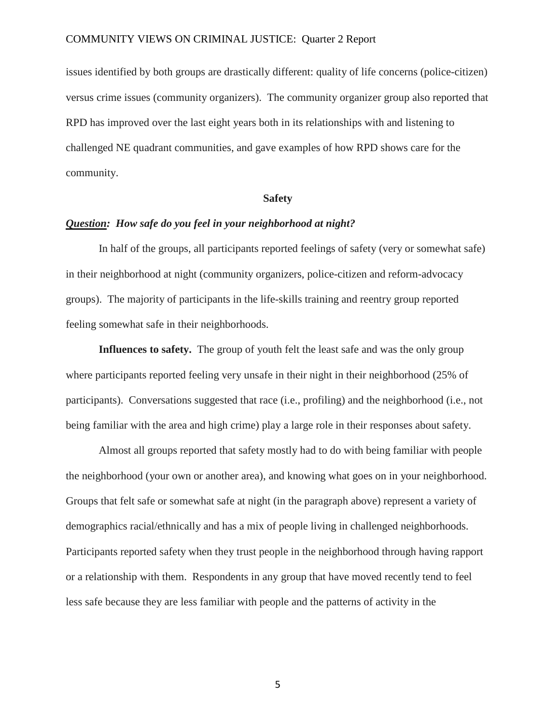issues identified by both groups are drastically different: quality of life concerns (police-citizen) versus crime issues (community organizers). The community organizer group also reported that RPD has improved over the last eight years both in its relationships with and listening to challenged NE quadrant communities, and gave examples of how RPD shows care for the community.

#### **Safety**

### *Question: How safe do you feel in your neighborhood at night?*

In half of the groups, all participants reported feelings of safety (very or somewhat safe) in their neighborhood at night (community organizers, police-citizen and reform-advocacy groups). The majority of participants in the life-skills training and reentry group reported feeling somewhat safe in their neighborhoods.

**Influences to safety.** The group of youth felt the least safe and was the only group where participants reported feeling very unsafe in their night in their neighborhood (25% of participants). Conversations suggested that race (i.e., profiling) and the neighborhood (i.e., not being familiar with the area and high crime) play a large role in their responses about safety.

Almost all groups reported that safety mostly had to do with being familiar with people the neighborhood (your own or another area), and knowing what goes on in your neighborhood. Groups that felt safe or somewhat safe at night (in the paragraph above) represent a variety of demographics racial/ethnically and has a mix of people living in challenged neighborhoods. Participants reported safety when they trust people in the neighborhood through having rapport or a relationship with them. Respondents in any group that have moved recently tend to feel less safe because they are less familiar with people and the patterns of activity in the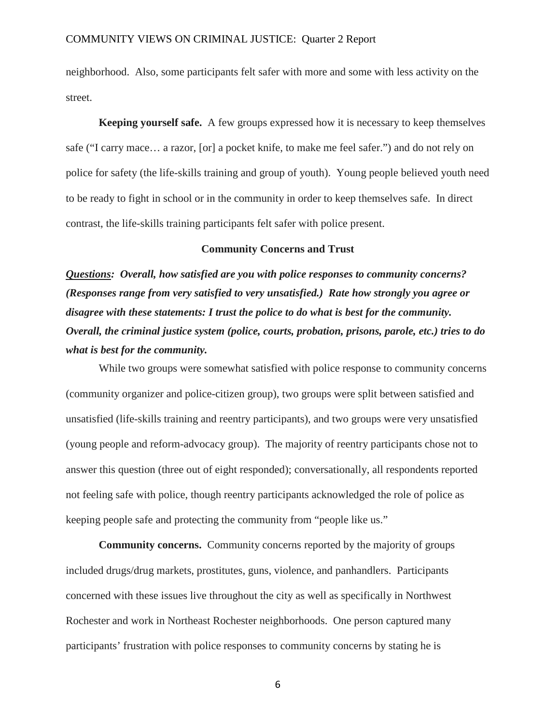neighborhood. Also, some participants felt safer with more and some with less activity on the street.

**Keeping yourself safe.** A few groups expressed how it is necessary to keep themselves safe ("I carry mace… a razor, [or] a pocket knife, to make me feel safer.") and do not rely on police for safety (the life-skills training and group of youth). Young people believed youth need to be ready to fight in school or in the community in order to keep themselves safe. In direct contrast, the life-skills training participants felt safer with police present.

#### **Community Concerns and Trust**

*Questions: Overall, how satisfied are you with police responses to community concerns? (Responses range from very satisfied to very unsatisfied.) Rate how strongly you agree or disagree with these statements: I trust the police to do what is best for the community. Overall, the criminal justice system (police, courts, probation, prisons, parole, etc.) tries to do what is best for the community.* 

While two groups were somewhat satisfied with police response to community concerns (community organizer and police-citizen group), two groups were split between satisfied and unsatisfied (life-skills training and reentry participants), and two groups were very unsatisfied (young people and reform-advocacy group). The majority of reentry participants chose not to answer this question (three out of eight responded); conversationally, all respondents reported not feeling safe with police, though reentry participants acknowledged the role of police as keeping people safe and protecting the community from "people like us."

**Community concerns.** Community concerns reported by the majority of groups included drugs/drug markets, prostitutes, guns, violence, and panhandlers. Participants concerned with these issues live throughout the city as well as specifically in Northwest Rochester and work in Northeast Rochester neighborhoods. One person captured many participants' frustration with police responses to community concerns by stating he is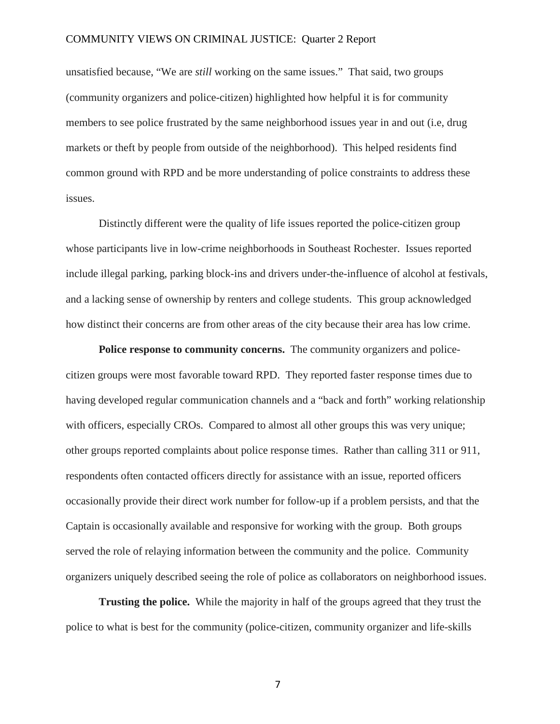unsatisfied because, "We are *still* working on the same issues." That said, two groups (community organizers and police-citizen) highlighted how helpful it is for community members to see police frustrated by the same neighborhood issues year in and out (i.e, drug markets or theft by people from outside of the neighborhood). This helped residents find common ground with RPD and be more understanding of police constraints to address these issues.

Distinctly different were the quality of life issues reported the police-citizen group whose participants live in low-crime neighborhoods in Southeast Rochester. Issues reported include illegal parking, parking block-ins and drivers under-the-influence of alcohol at festivals, and a lacking sense of ownership by renters and college students. This group acknowledged how distinct their concerns are from other areas of the city because their area has low crime.

**Police response to community concerns.** The community organizers and policecitizen groups were most favorable toward RPD. They reported faster response times due to having developed regular communication channels and a "back and forth" working relationship with officers, especially CROs. Compared to almost all other groups this was very unique; other groups reported complaints about police response times. Rather than calling 311 or 911, respondents often contacted officers directly for assistance with an issue, reported officers occasionally provide their direct work number for follow-up if a problem persists, and that the Captain is occasionally available and responsive for working with the group. Both groups served the role of relaying information between the community and the police. Community organizers uniquely described seeing the role of police as collaborators on neighborhood issues.

**Trusting the police.** While the majority in half of the groups agreed that they trust the police to what is best for the community (police-citizen, community organizer and life-skills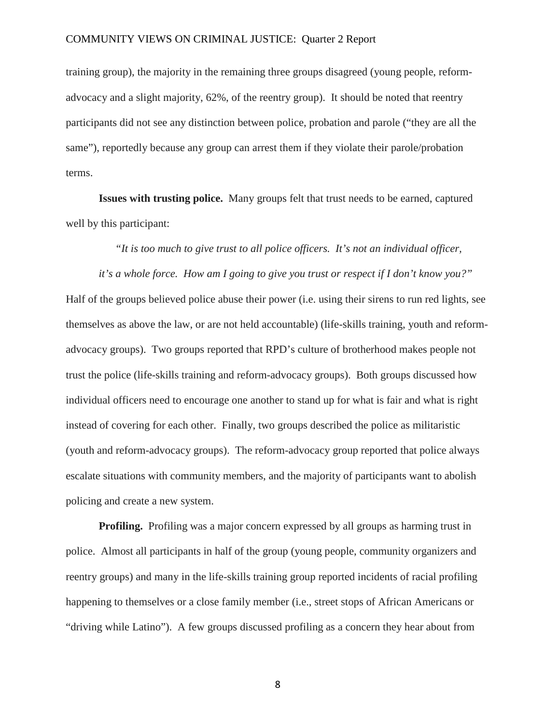training group), the majority in the remaining three groups disagreed (young people, reformadvocacy and a slight majority, 62%, of the reentry group). It should be noted that reentry participants did not see any distinction between police, probation and parole ("they are all the same"), reportedly because any group can arrest them if they violate their parole/probation terms.

**Issues with trusting police.** Many groups felt that trust needs to be earned, captured well by this participant:

*"It is too much to give trust to all police officers. It's not an individual officer,* 

*it's a whole force. How am I going to give you trust or respect if I don't know you?"*  Half of the groups believed police abuse their power (i.e. using their sirens to run red lights, see

themselves as above the law, or are not held accountable) (life-skills training, youth and reformadvocacy groups). Two groups reported that RPD's culture of brotherhood makes people not trust the police (life-skills training and reform-advocacy groups). Both groups discussed how individual officers need to encourage one another to stand up for what is fair and what is right instead of covering for each other. Finally, two groups described the police as militaristic (youth and reform-advocacy groups). The reform-advocacy group reported that police always escalate situations with community members, and the majority of participants want to abolish policing and create a new system.

**Profiling.** Profiling was a major concern expressed by all groups as harming trust in police. Almost all participants in half of the group (young people, community organizers and reentry groups) and many in the life-skills training group reported incidents of racial profiling happening to themselves or a close family member (i.e., street stops of African Americans or "driving while Latino"). A few groups discussed profiling as a concern they hear about from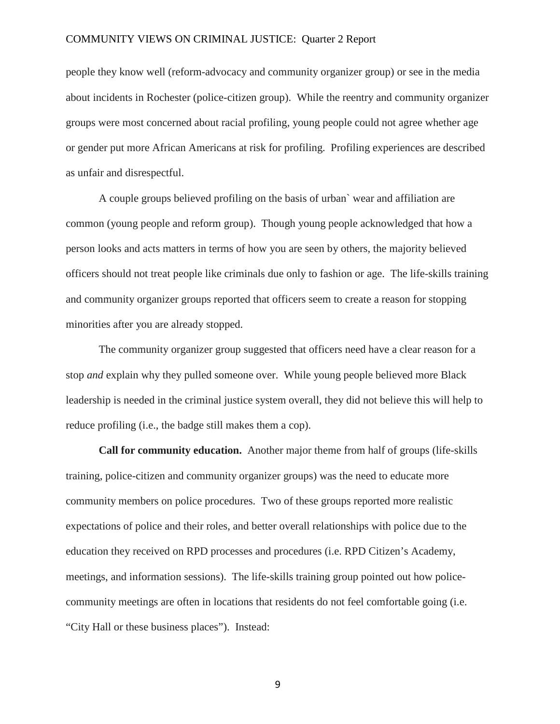people they know well (reform-advocacy and community organizer group) or see in the media about incidents in Rochester (police-citizen group). While the reentry and community organizer groups were most concerned about racial profiling, young people could not agree whether age or gender put more African Americans at risk for profiling. Profiling experiences are described as unfair and disrespectful.

A couple groups believed profiling on the basis of urban` wear and affiliation are common (young people and reform group). Though young people acknowledged that how a person looks and acts matters in terms of how you are seen by others, the majority believed officers should not treat people like criminals due only to fashion or age. The life-skills training and community organizer groups reported that officers seem to create a reason for stopping minorities after you are already stopped.

The community organizer group suggested that officers need have a clear reason for a stop *and* explain why they pulled someone over. While young people believed more Black leadership is needed in the criminal justice system overall, they did not believe this will help to reduce profiling (i.e., the badge still makes them a cop).

**Call for community education.** Another major theme from half of groups (life-skills training, police-citizen and community organizer groups) was the need to educate more community members on police procedures. Two of these groups reported more realistic expectations of police and their roles, and better overall relationships with police due to the education they received on RPD processes and procedures (i.e. RPD Citizen's Academy, meetings, and information sessions). The life-skills training group pointed out how policecommunity meetings are often in locations that residents do not feel comfortable going (i.e. "City Hall or these business places"). Instead: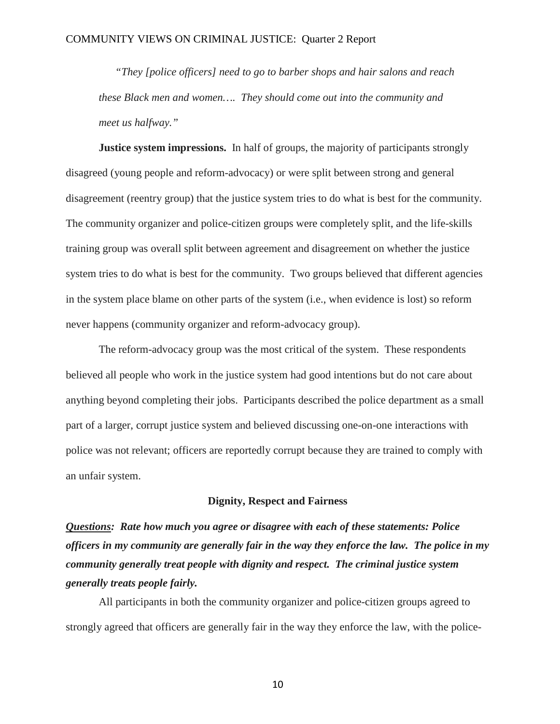*"They [police officers] need to go to barber shops and hair salons and reach these Black men and women…. They should come out into the community and meet us halfway."*

**Justice system impressions.** In half of groups, the majority of participants strongly disagreed (young people and reform-advocacy) or were split between strong and general disagreement (reentry group) that the justice system tries to do what is best for the community. The community organizer and police-citizen groups were completely split, and the life-skills training group was overall split between agreement and disagreement on whether the justice system tries to do what is best for the community. Two groups believed that different agencies in the system place blame on other parts of the system (i.e., when evidence is lost) so reform never happens (community organizer and reform-advocacy group).

The reform-advocacy group was the most critical of the system. These respondents believed all people who work in the justice system had good intentions but do not care about anything beyond completing their jobs. Participants described the police department as a small part of a larger, corrupt justice system and believed discussing one-on-one interactions with police was not relevant; officers are reportedly corrupt because they are trained to comply with an unfair system.

#### **Dignity, Respect and Fairness**

*Questions: Rate how much you agree or disagree with each of these statements: Police officers in my community are generally fair in the way they enforce the law. The police in my community generally treat people with dignity and respect. The criminal justice system generally treats people fairly.*

All participants in both the community organizer and police-citizen groups agreed to strongly agreed that officers are generally fair in the way they enforce the law, with the police-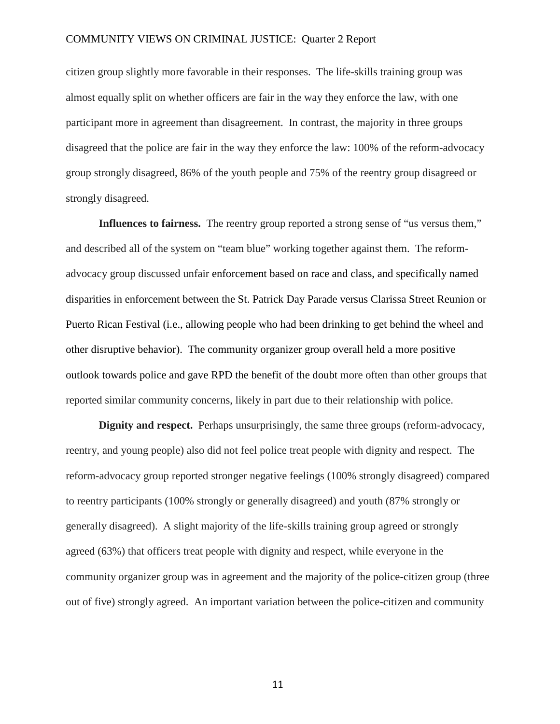citizen group slightly more favorable in their responses. The life-skills training group was almost equally split on whether officers are fair in the way they enforce the law, with one participant more in agreement than disagreement. In contrast, the majority in three groups disagreed that the police are fair in the way they enforce the law: 100% of the reform-advocacy group strongly disagreed, 86% of the youth people and 75% of the reentry group disagreed or strongly disagreed.

**Influences to fairness.** The reentry group reported a strong sense of "us versus them," and described all of the system on "team blue" working together against them. The reformadvocacy group discussed unfair enforcement based on race and class, and specifically named disparities in enforcement between the St. Patrick Day Parade versus Clarissa Street Reunion or Puerto Rican Festival (i.e., allowing people who had been drinking to get behind the wheel and other disruptive behavior). The community organizer group overall held a more positive outlook towards police and gave RPD the benefit of the doubt more often than other groups that reported similar community concerns, likely in part due to their relationship with police.

**Dignity and respect.** Perhaps unsurprisingly, the same three groups (reform-advocacy, reentry, and young people) also did not feel police treat people with dignity and respect. The reform-advocacy group reported stronger negative feelings (100% strongly disagreed) compared to reentry participants (100% strongly or generally disagreed) and youth (87% strongly or generally disagreed). A slight majority of the life-skills training group agreed or strongly agreed (63%) that officers treat people with dignity and respect, while everyone in the community organizer group was in agreement and the majority of the police-citizen group (three out of five) strongly agreed. An important variation between the police-citizen and community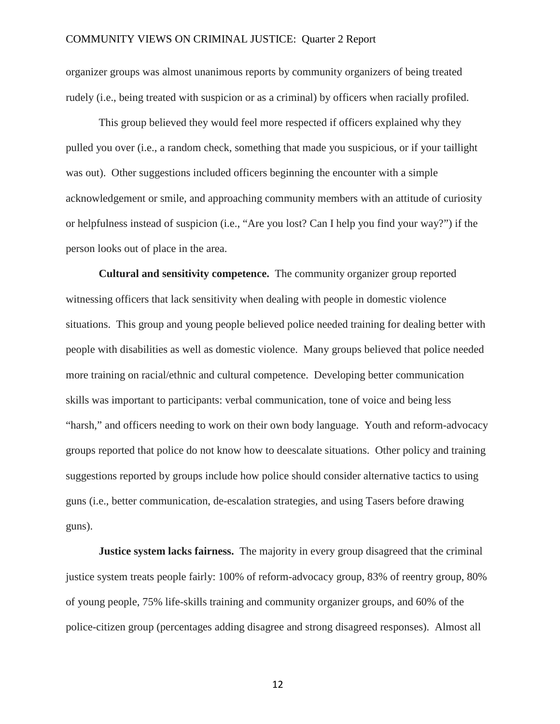organizer groups was almost unanimous reports by community organizers of being treated rudely (i.e., being treated with suspicion or as a criminal) by officers when racially profiled.

This group believed they would feel more respected if officers explained why they pulled you over (i.e., a random check, something that made you suspicious, or if your taillight was out). Other suggestions included officers beginning the encounter with a simple acknowledgement or smile, and approaching community members with an attitude of curiosity or helpfulness instead of suspicion (i.e., "Are you lost? Can I help you find your way?") if the person looks out of place in the area.

**Cultural and sensitivity competence.** The community organizer group reported witnessing officers that lack sensitivity when dealing with people in domestic violence situations. This group and young people believed police needed training for dealing better with people with disabilities as well as domestic violence. Many groups believed that police needed more training on racial/ethnic and cultural competence. Developing better communication skills was important to participants: verbal communication, tone of voice and being less "harsh," and officers needing to work on their own body language. Youth and reform-advocacy groups reported that police do not know how to deescalate situations. Other policy and training suggestions reported by groups include how police should consider alternative tactics to using guns (i.e., better communication, de-escalation strategies, and using Tasers before drawing guns).

**Justice system lacks fairness.** The majority in every group disagreed that the criminal justice system treats people fairly: 100% of reform-advocacy group, 83% of reentry group, 80% of young people, 75% life-skills training and community organizer groups, and 60% of the police-citizen group (percentages adding disagree and strong disagreed responses). Almost all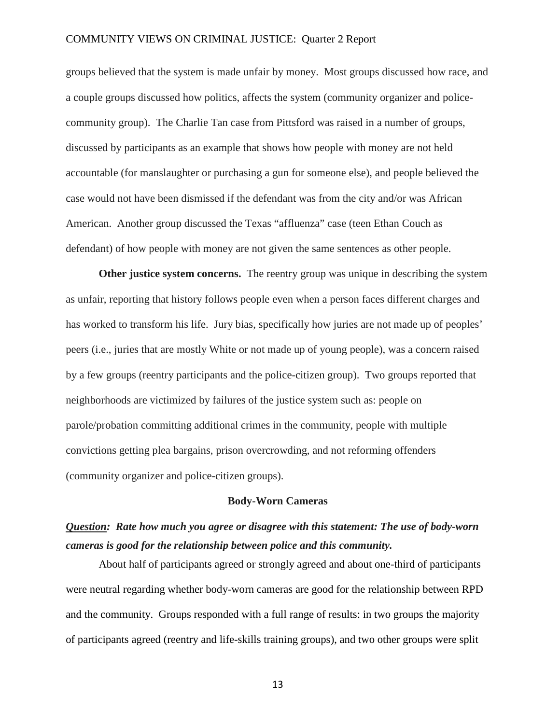groups believed that the system is made unfair by money. Most groups discussed how race, and a couple groups discussed how politics, affects the system (community organizer and policecommunity group). The Charlie Tan case from Pittsford was raised in a number of groups, discussed by participants as an example that shows how people with money are not held accountable (for manslaughter or purchasing a gun for someone else), and people believed the case would not have been dismissed if the defendant was from the city and/or was African American. Another group discussed the Texas "affluenza" case (teen Ethan Couch as defendant) of how people with money are not given the same sentences as other people.

**Other justice system concerns.** The reentry group was unique in describing the system as unfair, reporting that history follows people even when a person faces different charges and has worked to transform his life. Jury bias, specifically how juries are not made up of peoples' peers (i.e., juries that are mostly White or not made up of young people), was a concern raised by a few groups (reentry participants and the police-citizen group). Two groups reported that neighborhoods are victimized by failures of the justice system such as: people on parole/probation committing additional crimes in the community, people with multiple convictions getting plea bargains, prison overcrowding, and not reforming offenders (community organizer and police-citizen groups).

#### **Body-Worn Cameras**

# *Question: Rate how much you agree or disagree with this statement: The use of body-worn cameras is good for the relationship between police and this community.*

About half of participants agreed or strongly agreed and about one-third of participants were neutral regarding whether body-worn cameras are good for the relationship between RPD and the community. Groups responded with a full range of results: in two groups the majority of participants agreed (reentry and life-skills training groups), and two other groups were split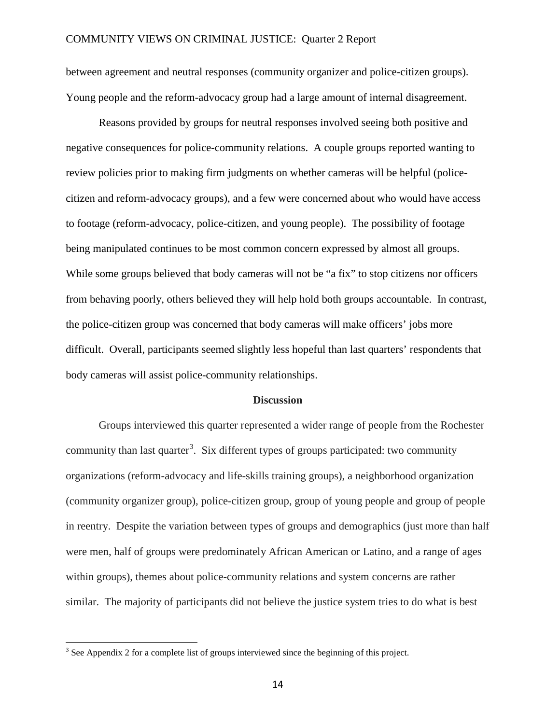between agreement and neutral responses (community organizer and police-citizen groups). Young people and the reform-advocacy group had a large amount of internal disagreement.

Reasons provided by groups for neutral responses involved seeing both positive and negative consequences for police-community relations. A couple groups reported wanting to review policies prior to making firm judgments on whether cameras will be helpful (policecitizen and reform-advocacy groups), and a few were concerned about who would have access to footage (reform-advocacy, police-citizen, and young people). The possibility of footage being manipulated continues to be most common concern expressed by almost all groups. While some groups believed that body cameras will not be "a fix" to stop citizens nor officers from behaving poorly, others believed they will help hold both groups accountable. In contrast, the police-citizen group was concerned that body cameras will make officers' jobs more difficult. Overall, participants seemed slightly less hopeful than last quarters' respondents that body cameras will assist police-community relationships.

#### **Discussion**

Groups interviewed this quarter represented a wider range of people from the Rochester community than last quarter<sup>[3](#page-13-0)</sup>. Six different types of groups participated: two community organizations (reform-advocacy and life-skills training groups), a neighborhood organization (community organizer group), police-citizen group, group of young people and group of people in reentry. Despite the variation between types of groups and demographics (just more than half were men, half of groups were predominately African American or Latino, and a range of ages within groups), themes about police-community relations and system concerns are rather similar. The majority of participants did not believe the justice system tries to do what is best

<span id="page-13-0"></span><sup>&</sup>lt;sup>3</sup> See Appendix 2 for a complete list of groups interviewed since the beginning of this project.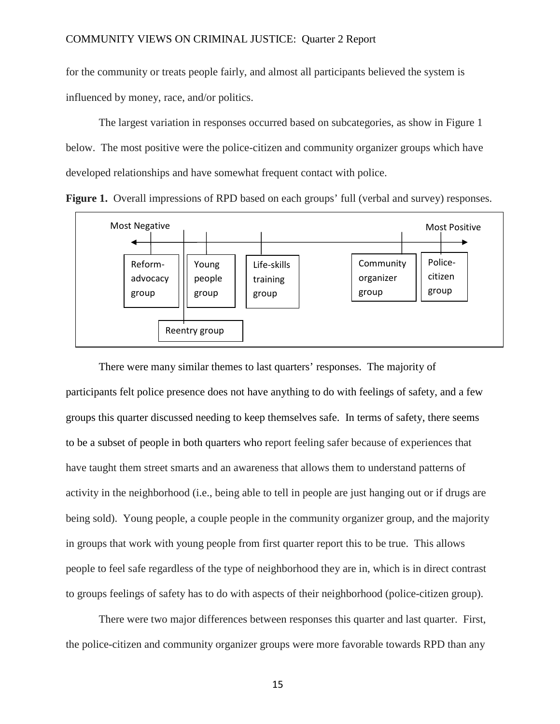for the community or treats people fairly, and almost all participants believed the system is influenced by money, race, and/or politics.

The largest variation in responses occurred based on subcategories, as show in Figure 1 below. The most positive were the police-citizen and community organizer groups which have developed relationships and have somewhat frequent contact with police.





There were many similar themes to last quarters' responses. The majority of participants felt police presence does not have anything to do with feelings of safety, and a few groups this quarter discussed needing to keep themselves safe. In terms of safety, there seems to be a subset of people in both quarters who report feeling safer because of experiences that have taught them street smarts and an awareness that allows them to understand patterns of activity in the neighborhood (i.e., being able to tell in people are just hanging out or if drugs are being sold). Young people, a couple people in the community organizer group, and the majority in groups that work with young people from first quarter report this to be true. This allows people to feel safe regardless of the type of neighborhood they are in, which is in direct contrast to groups feelings of safety has to do with aspects of their neighborhood (police-citizen group).

There were two major differences between responses this quarter and last quarter. First, the police-citizen and community organizer groups were more favorable towards RPD than any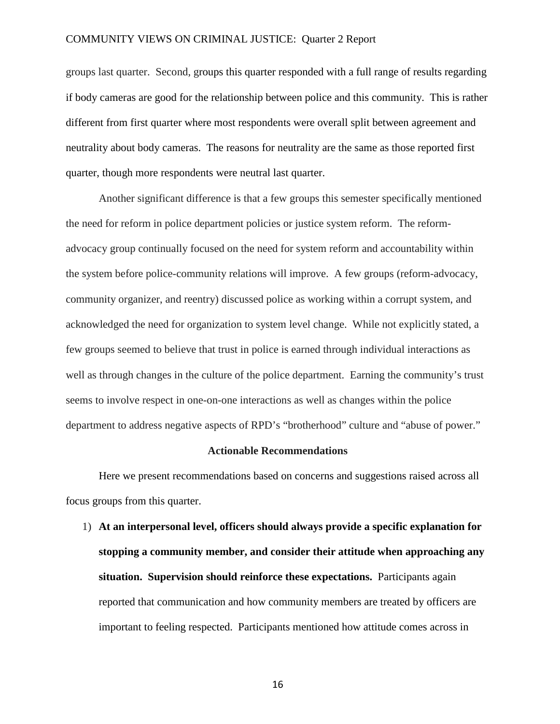groups last quarter. Second, groups this quarter responded with a full range of results regarding if body cameras are good for the relationship between police and this community. This is rather different from first quarter where most respondents were overall split between agreement and neutrality about body cameras. The reasons for neutrality are the same as those reported first quarter, though more respondents were neutral last quarter.

Another significant difference is that a few groups this semester specifically mentioned the need for reform in police department policies or justice system reform. The reformadvocacy group continually focused on the need for system reform and accountability within the system before police-community relations will improve. A few groups (reform-advocacy, community organizer, and reentry) discussed police as working within a corrupt system, and acknowledged the need for organization to system level change. While not explicitly stated, a few groups seemed to believe that trust in police is earned through individual interactions as well as through changes in the culture of the police department. Earning the community's trust seems to involve respect in one-on-one interactions as well as changes within the police department to address negative aspects of RPD's "brotherhood" culture and "abuse of power."

#### **Actionable Recommendations**

Here we present recommendations based on concerns and suggestions raised across all focus groups from this quarter.

1) **At an interpersonal level, officers should always provide a specific explanation for stopping a community member, and consider their attitude when approaching any situation. Supervision should reinforce these expectations.** Participants again reported that communication and how community members are treated by officers are important to feeling respected. Participants mentioned how attitude comes across in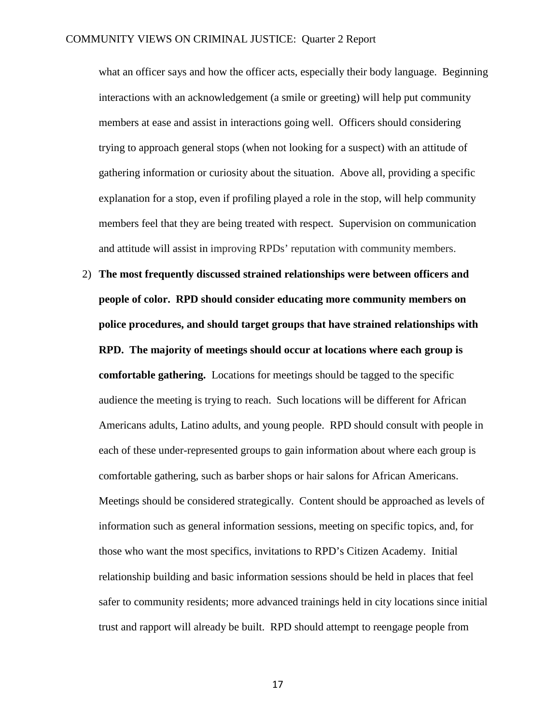what an officer says and how the officer acts, especially their body language. Beginning interactions with an acknowledgement (a smile or greeting) will help put community members at ease and assist in interactions going well. Officers should considering trying to approach general stops (when not looking for a suspect) with an attitude of gathering information or curiosity about the situation. Above all, providing a specific explanation for a stop, even if profiling played a role in the stop, will help community members feel that they are being treated with respect. Supervision on communication and attitude will assist in improving RPDs' reputation with community members.

2) **The most frequently discussed strained relationships were between officers and people of color. RPD should consider educating more community members on police procedures, and should target groups that have strained relationships with RPD. The majority of meetings should occur at locations where each group is comfortable gathering.** Locations for meetings should be tagged to the specific audience the meeting is trying to reach. Such locations will be different for African Americans adults, Latino adults, and young people. RPD should consult with people in each of these under-represented groups to gain information about where each group is comfortable gathering, such as barber shops or hair salons for African Americans. Meetings should be considered strategically. Content should be approached as levels of information such as general information sessions, meeting on specific topics, and, for those who want the most specifics, invitations to RPD's Citizen Academy. Initial relationship building and basic information sessions should be held in places that feel safer to community residents; more advanced trainings held in city locations since initial trust and rapport will already be built. RPD should attempt to reengage people from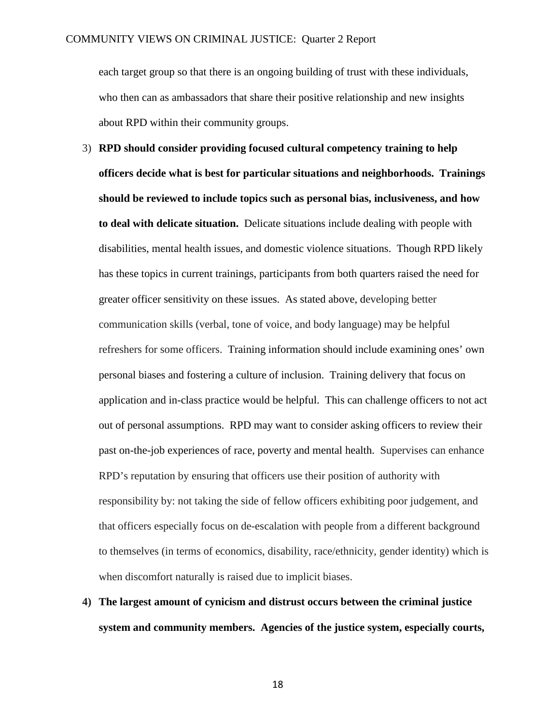each target group so that there is an ongoing building of trust with these individuals, who then can as ambassadors that share their positive relationship and new insights about RPD within their community groups.

- 3) **RPD should consider providing focused cultural competency training to help officers decide what is best for particular situations and neighborhoods. Trainings should be reviewed to include topics such as personal bias, inclusiveness, and how to deal with delicate situation.** Delicate situations include dealing with people with disabilities, mental health issues, and domestic violence situations. Though RPD likely has these topics in current trainings, participants from both quarters raised the need for greater officer sensitivity on these issues. As stated above, developing better communication skills (verbal, tone of voice, and body language) may be helpful refreshers for some officers. Training information should include examining ones' own personal biases and fostering a culture of inclusion. Training delivery that focus on application and in-class practice would be helpful. This can challenge officers to not act out of personal assumptions. RPD may want to consider asking officers to review their past on-the-job experiences of race, poverty and mental health. Supervises can enhance RPD's reputation by ensuring that officers use their position of authority with responsibility by: not taking the side of fellow officers exhibiting poor judgement, and that officers especially focus on de-escalation with people from a different background to themselves (in terms of economics, disability, race/ethnicity, gender identity) which is when discomfort naturally is raised due to implicit biases.
- **4) The largest amount of cynicism and distrust occurs between the criminal justice system and community members. Agencies of the justice system, especially courts,**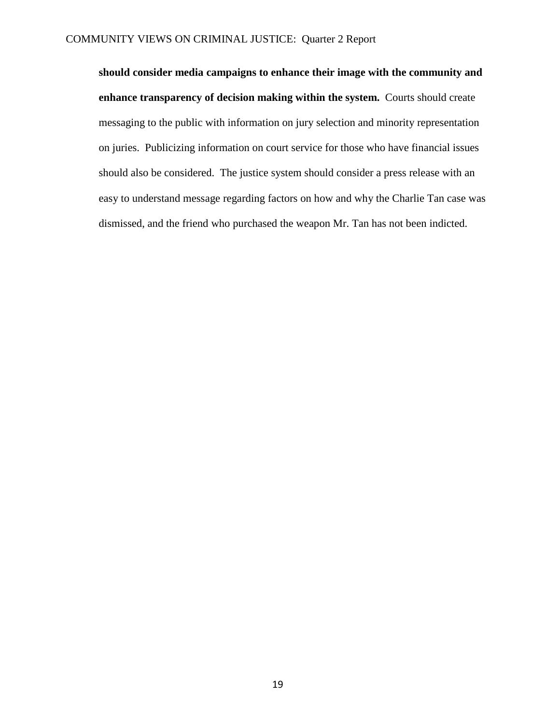**should consider media campaigns to enhance their image with the community and enhance transparency of decision making within the system.** Courts should create messaging to the public with information on jury selection and minority representation on juries. Publicizing information on court service for those who have financial issues should also be considered. The justice system should consider a press release with an easy to understand message regarding factors on how and why the Charlie Tan case was dismissed, and the friend who purchased the weapon Mr. Tan has not been indicted.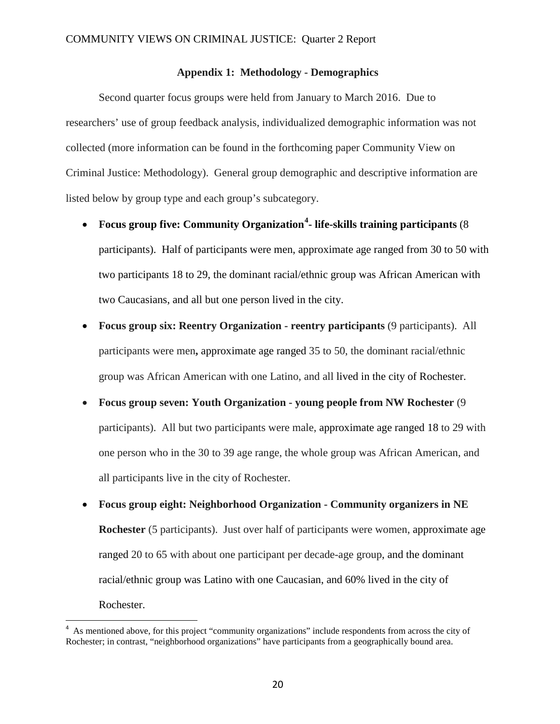#### **Appendix 1: Methodology - Demographics**

Second quarter focus groups were held from January to March 2016. Due to researchers' use of group feedback analysis, individualized demographic information was not collected (more information can be found in the forthcoming paper Community View on Criminal Justice: Methodology). General group demographic and descriptive information are listed below by group type and each group's subcategory.

- **Focus group five: Community Organization[4](#page-19-0) - life-skills training participants** (8 participants). Half of participants were men, approximate age ranged from 30 to 50 with two participants 18 to 29, the dominant racial/ethnic group was African American with two Caucasians, and all but one person lived in the city.
- **Focus group six: Reentry Organization - reentry participants** (9 participants).All participants were men**,** approximate age ranged 35 to 50, the dominant racial/ethnic group was African American with one Latino, and all lived in the city of Rochester.
- **Focus group seven: Youth Organization - young people from NW Rochester** (9 participants). All but two participants were male, approximate age ranged 18 to 29 with one person who in the 30 to 39 age range, the whole group was African American, and all participants live in the city of Rochester.
- **Focus group eight: Neighborhood Organization - Community organizers in NE Rochester** (5 participants).Just over half of participants were women, approximate age ranged 20 to 65 with about one participant per decade-age group, and the dominant racial/ethnic group was Latino with one Caucasian, and 60% lived in the city of Rochester.

<span id="page-19-0"></span><sup>&</sup>lt;sup>4</sup> As mentioned above, for this project "community organizations" include respondents from across the city of Rochester; in contrast, "neighborhood organizations" have participants from a geographically bound area.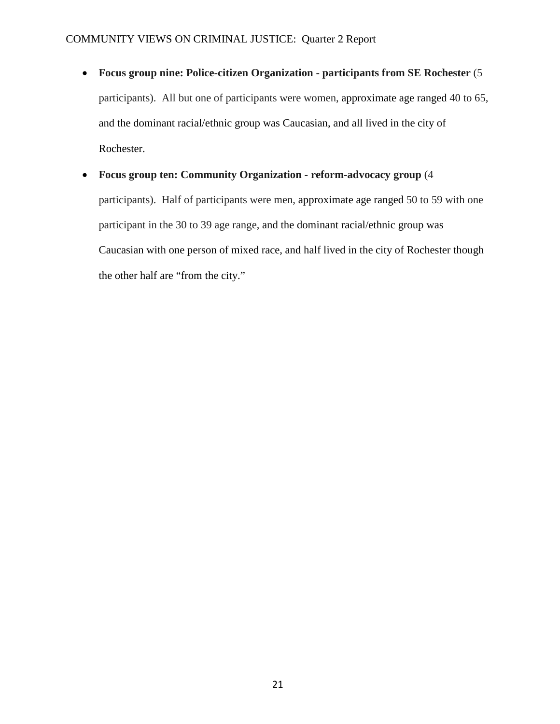- **Focus group nine: Police-citizen Organization - participants from SE Rochester** (5 participants).All but one of participants were women, approximate age ranged 40 to 65, and the dominant racial/ethnic group was Caucasian, and all lived in the city of Rochester.
- **Focus group ten: Community Organization - reform-advocacy group** (4 participants).Half of participants were men, approximate age ranged 50 to 59 with one participant in the 30 to 39 age range, and the dominant racial/ethnic group was Caucasian with one person of mixed race, and half lived in the city of Rochester though the other half are "from the city."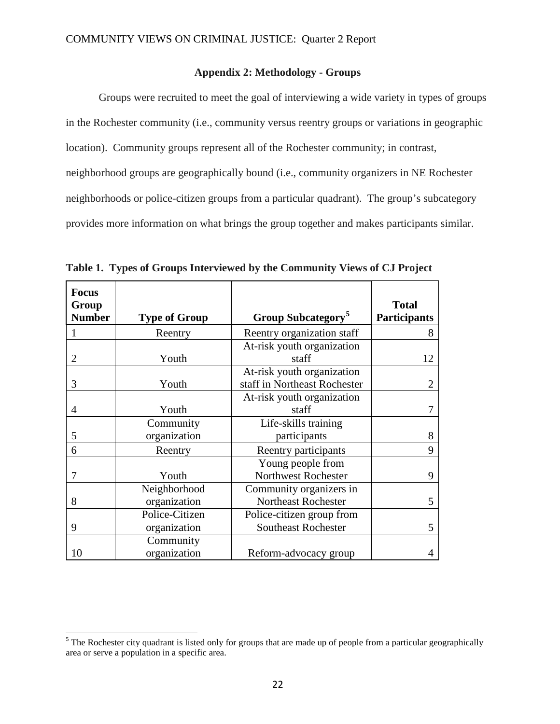### **Appendix 2: Methodology - Groups**

Groups were recruited to meet the goal of interviewing a wide variety in types of groups in the Rochester community (i.e., community versus reentry groups or variations in geographic location). Community groups represent all of the Rochester community; in contrast, neighborhood groups are geographically bound (i.e., community organizers in NE Rochester neighborhoods or police-citizen groups from a particular quadrant). The group's subcategory provides more information on what brings the group together and makes participants similar.

| <b>Focus</b><br>Group<br><b>Number</b> | <b>Type of Group</b>           | Group Subcategory <sup>5</sup>                             | <b>Total</b><br><b>Participants</b> |
|----------------------------------------|--------------------------------|------------------------------------------------------------|-------------------------------------|
|                                        | Reentry                        | Reentry organization staff                                 | 8                                   |
| 2                                      | Youth                          | At-risk youth organization<br>staff                        | 12                                  |
| 3                                      | Youth                          | At-risk youth organization<br>staff in Northeast Rochester | $\overline{2}$                      |
| 4                                      | Youth                          | At-risk youth organization<br>staff                        | 7                                   |
|                                        | Community                      | Life-skills training                                       |                                     |
| 5                                      | organization                   | participants                                               | 8                                   |
| 6                                      | Reentry                        | Reentry participants                                       | 9                                   |
| 7                                      | Youth                          | Young people from<br><b>Northwest Rochester</b>            | 9                                   |
| 8                                      | Neighborhood<br>organization   | Community organizers in<br><b>Northeast Rochester</b>      | 5 <sup>5</sup>                      |
| 9                                      | Police-Citizen<br>organization | Police-citizen group from<br><b>Southeast Rochester</b>    | 5                                   |
| 10                                     | Community<br>organization      | Reform-advocacy group                                      | $\overline{4}$                      |

**Table 1. Types of Groups Interviewed by the Community Views of CJ Project**

<span id="page-21-0"></span> $<sup>5</sup>$  The Rochester city quadrant is listed only for groups that are made up of people from a particular geographically</sup> area or serve a population in a specific area.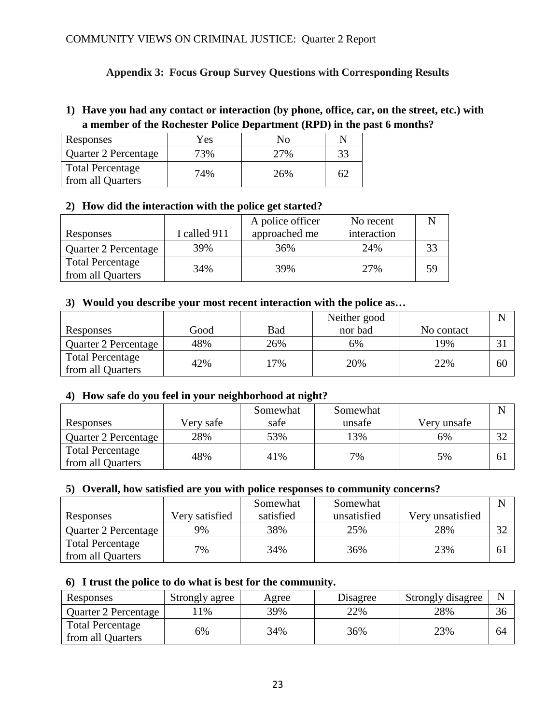## **Appendix 3: Focus Group Survey Questions with Corresponding Results**

# **1) Have you had any contact or interaction (by phone, office, car, on the street, etc.) with a member of the Rochester Police Department (RPD) in the past 6 months?**

| Responses                                    | Yes |     |  |
|----------------------------------------------|-----|-----|--|
| Quarter 2 Percentage                         |     |     |  |
| <b>Total Percentage</b><br>from all Quarters | 74% | 26% |  |

## **2) How did the interaction with the police get started?**

|                                              |              | A police officer | No recent   |    |
|----------------------------------------------|--------------|------------------|-------------|----|
| Responses                                    | I called 911 | approached me    | interaction |    |
| Quarter 2 Percentage                         | 39%          | 36%              | 24%         |    |
| <b>Total Percentage</b><br>from all Quarters | 34%          | 39%              | 27%         | 59 |

### **3) Would you describe your most recent interaction with the police as…**

|                         |      |     | Neither good |            |    |
|-------------------------|------|-----|--------------|------------|----|
| Responses               | Good | Bad | nor bad      | No contact |    |
| Quarter 2 Percentage    | 48%  | 26% | 6%           | 19%        |    |
| <b>Total Percentage</b> | 42%  | 7%  | 20%          | 22%        | 60 |
| from all Quarters       |      |     |              |            |    |

### **4) How safe do you feel in your neighborhood at night?**

|                         |           | Somewhat | Somewhat |             |                |
|-------------------------|-----------|----------|----------|-------------|----------------|
| Responses               | Very safe | safe     | unsafe   | Very unsafe |                |
| Quarter 2 Percentage    | 28%       | 53%      | $13\%$   | 6%          | $\mathfrak{D}$ |
| <b>Total Percentage</b> | 48%       | 41%      | 7%       | 5%          | 6 <sup>j</sup> |
| from all Quarters       |           |          |          |             |                |

### **5) Overall, how satisfied are you with police responses to community concerns?**

|                         |                | Somewhat  | Somewhat    |                  |    |
|-------------------------|----------------|-----------|-------------|------------------|----|
| Responses               | Very satisfied | satisfied | unsatisfied | Very unsatisfied |    |
| Quarter 2 Percentage    | 9%             | 38%       | 25%         | 28%              | 32 |
| <b>Total Percentage</b> | 7%             | 34%       | 36%         | 23%              | 61 |
| from all Quarters       |                |           |             |                  |    |

### **6) I trust the police to do what is best for the community.**

| Responses                                    | Strongly agree | Agree | Disagree | Strongly disagree |    |
|----------------------------------------------|----------------|-------|----------|-------------------|----|
| Quarter 2 Percentage                         | $1\%$          | 39%   | 22%      | 28%               | 36 |
| <b>Total Percentage</b><br>from all Quarters | 5%             | 34%   | 36%      | 23%               | 64 |